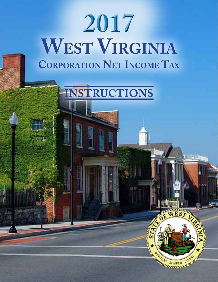# **2017 West Virginia Corporation Net Income Tax**



si F. S

PER

ZIBERY AM LIBERT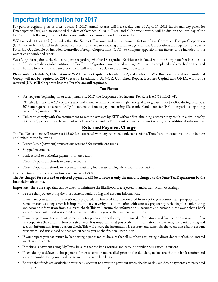# **Important Information for 2017**

For periods beginning on or after January 1, 2017, annual returns will have a due date of April 17, 2018 (additional day given for Emancipation Day) and an extended due date of October 15, 2018. Fiscal and 52/53 week returns will be due on the 15th day of the fourth month following the end of the period with an extension period of six months.

WV tax code 11-24-13f(5) provides that the Subpart F income and apportionment factors of any Controlled Foreign Corporation (CFC) are to be included in the combined report of a taxpayer making a waters-edge election. Corporations are required to use new Form UB-5, Schedule of Included Controlled Foreign Corporations (CFC), to compute apportionment factors to be included in the waters-edge combined report.

West Virginia requires a check box response regarding whether Disregarded Entities are included with the Corporate Net Income Tax return. If there are disregarded entities, the Tax Return Questionnaire located on page 24 must be completed and attached to the filed return. Failure to attach the required document will result in a delay in processing the return.

**Please note, Schedule A, Calculation of WV Business Capital, Schedule UB-2, Calculation of WV Business Capital for Combined Group, will not be required for 2017 returns. In addition, UB4-CR, Combined Report, Business Capital tabs ONLY, will not be required (UB-4CR Corporate Income Tax tabs are still required).**

#### **Tax Rates**

- For tax years beginning on or after January 1, 2017, the Corporate Net Income Tax Rate is 6.5% (§11-24-4).
- Effective January 1, 2017, taxpayers who had annual remittance of any single tax equal to or greater than \$25,000 during fiscal year 2016 are required to electronically file returns and make payments using Electronic Funds Transfer (EFT) for periods beginning on or after January 1, 2017.
- Failure to comply with the requirement to remit payments by EFT without first obtaining a waiver may result in a civil penalty of three (3) percent of each payment which was to be paid by EFT. Visit our website www.tax.wv.gov for additional information.

# **Returned Payment Charge**

The Tax Department will recover a \$15.00 fee associated with any returned bank transactions. These bank transactions include but are not limited to the following:

- • Direct Debit (payment) transactions returned for insufficient funds.
- Stopped payments.
- Bank refusal to authorize payment for any reason.
- Direct Deposit of refunds to closed accounts.
- • Direct Deposit of refunds to accounts containing inaccurate or illegible account information.

Checks returned for insufficient funds will incur a \$28.00 fee.

#### **The fee charged for returned or rejected payments will be to recover only the amount charged to the State Tax Department by the financial institutions.**

**Important:** There are steps that can be taken to minimize the likelihood of a rejected financial transaction occurring:

- Be sure that you are using the most current bank routing and account information.
- If you have your tax return professionally prepared, the financial information used from a prior year return often pre-populates the current return as a step saver. It is important that you verify this information with your tax preparer by reviewing the bank routing and account information from a current check. This will ensure the information is accurate and current in the event that a bank account previously used was closed or changed either by you or the financial institution.
- If you prepare your tax return at home using tax preparation software, the financial information used from a prior year return often pre-populates the current return as a step saver. It is important that you verify this information by reviewing the bank routing and account information from a current check. This will ensure the information is accurate and current in the event that a bank account previously used was closed or changed either by you or the financial institution.
- If you prepare your tax return by hand using a paper return, be sure that all numbers requesting a direct deposit of refund entered are clear and legible.
- If making a payment using MyTaxes, be sure that the bank routing and account number being used is current.
- If scheduling a delayed debit payment for an electronic return filed prior to the due date, make sure that the bank routing and account number being used will be active on the scheduled date.
- –2– Be sure that funds are available in your bank account to cover the payment when checks or delayed debit payments are presented for payment.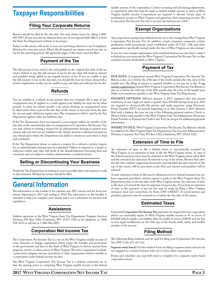# **Taxpayer Responsibilities**

# **Filing Your Corporate Returns**

Returns should be filed by the due date. You may obtain forms by calling 1-800- 982-8297. Forms may also be obtained from any of our regional field offices or from the State Tax Department website at tax.wv.gov.

Failure to file returns will result in your account being referred to our Compliance Division for corrective action. Please file all required tax returns even if you owe no tax for the reporting period. All applicable pages of the return must be filed.

# **Payment of the Tax**

The full amount of tax owed is due and payable on the original due date of the tax return. Failure to pay the full amount of tax by the due date will result in interest and penalties being added to any unpaid amount of tax. If you are unable to pay the full amount of tax on the due date, you should file your tax return along with a written explanation of why you are unable to pay and when you will pay the tax due.

# **Refunds**

You are entitled to a refund of any amount that you overpaid. All or part of any overpayment may be applied as a credit against your liability for such tax for other periods. A claim for refund (usually a tax return showing an overpayment) must be filed within three years of the due date of the return or two years from the date the tax was paid, whichever expires later. The overpayment will be used by the Tax Department against other tax liabilities due.

If the Tax Department does not respond to your request within six months of the due date or the extended due date on overpayment of Corporation Net Income Tax, you may submit in writing a request for an administrative hearing to present your reasons why you feel you are entitled to the refund. Interest is allowed and paid on any refund upon which the Department has failed to timely act and which is final and conclusive.

If the Tax Department denies or reduces a request for a refund, a written request for an administrative hearing may be submitted. Failure to respond to a denial or reduction within sixty days will result in the denial/reduction becoming final and conclusive and not subject to further administrative or judicial review.

# **Selling or Discontinuing Your Business**

Notify the Tax Department in writing as soon as possible after your business is sold or discontinued. All final tax returns should be filed.

# **General Information**

The information in this booklet is for calendar year 2017 returns and for fiscal year returns beginning in 2017 and ending in 2018. The information in this booklet is intended to help you complete your returns and is not a substitute for tax laws and regulations.

### **Assistance**

Address questions to the West Virginia State Tax Department, Taxpayer Services Division, PO Box 3784, Charleston, WV 25337-3784 or by telephone at (304) 558-3333 or toll free at 1-800-982-8297.

# **Corporation Net Income Tax**

The Corporation Net Income Tax is a tax on the West Virginia taxable income of every domestic or foreign corporation which enjoys the benefits and protections of the government and laws in the State of West Virginia or derives income from property, activity or other sources in West Virginia. The term "corporation" includes a joint stock company and any association or other organization which is taxable as a corporation under federal income tax laws.

The West Virginia Corporation Net Income Tax is a federal conformity tax in that the starting point in computing West Virginia taxable income is the federal taxable income of the corporation. Certain increasing and decreasing adjustments, as required by state law, must be made to federal taxable income to arrive at West Virginia taxable income. Corporations are required to allocate certain types of nonbusiness income to West Virginia and apportion their remaining income. The Corporation Net Income Tax rate is six and one-half percent (.065).

# **Exempt Organizations**

Any corporation exempt from federal income tax is also exempt from West Virginia Corporation Net Income Tax. In addition, certain insurance companies, certain production credit associations, trusts established under 29 U.S.C. 186, and other organizations specifically exempt under the laws of West Virginia are also exempt.

If you are a tax exempt organization with unrelated business income that is subject to federal tax, you must pay the West Virginia Corporation Net Income Tax on that unrelated income attributable to West Virginia.

# **Payment of Tax**

**Due Date:** A corporation's annual West Virginia Corporation Net Income Tax Return is due on or before the 15th day of the fourth month after the close of the taxable year. The filing of returns is required whether or not any tax is due. A tax exempt organization's annual West Virginia Corporation Net Income Tax Return is due on or before the 15th day of the fifth month after the close of the taxable year. Make your remittance payable to the West Virginia State Tax Department.

PAYMENT OPTIONS: Effective January 1, 2017, taxpayers who had annual remittance of any single tax equal or greater than \$25,000 during fiscal year 2016 are required to electronically file returns and make payments using Electronic Funds Transfer (EFT) for periods beginning on or after January 1, 2017. Returns filed with a balance due may use any of the following payment options: Check or Money Order made payable to the West Virginia State Tax Department, Electronic Funds Transfer or Payment by Credit Card. Visit tax.wv.gov for additional payment information.

**Where to file:** West Virginia Corporation Net Income Tax Returns should be mailed to the West Virginia State Tax Department, Tax Account Administration Division, Corporate Tax Unit, PO Box 1202, Charleston, WV 25324-1202.

### **Extension of Time to File**

An extension of time to file a federal return is automatically accepted by West Virginia as an extension of time to file the West Virginia return. A copy of the federal extension form must be attached to the West Virginia return when filed and the extended due date must be entered on top of the return. Returns filed after the due date, without supporting documents and extended due date entered on the top of the return, will be processed as late filed and interest and penalties will be assessed.

A state extension of time to file may be obtained, even if a federal extension has not been requested, provided a written request is made to the West Virginia State Tax Department prior to the due date of the West Virginia return. An extension of time to file does not extend the time for payment of any tax due. If you have an extension of time to file, payment of any tax due may be made by filing a West Virginia extension form (see instructions for Form CNF-120EXT). To avoid interest and penalties, payment must be received on or before the due date of the return.

# **Estimated Taxes**

Estimated **Corporation Net Income Tax** payments are required for any corporation which can reasonably expect its West Virginia taxable income to be in excess of \$10,000 (which equals a tax liability after tax credits in excess of \$650) and are due in four equal installments on the 15th day of the fourth, sixth, ninth, and twelfth months of the tax year.

# **Filing Method**

The following filing methods may be used for filing your Corporation Net Income Tax (WV Code §11-24-13a).

**Separate entity based:** Use this method if you are filing a separate return and you are not engaged in a unitary business with one or more other corporations.

Forms and schedules you may/will need to complete for a separate entity based corporation return: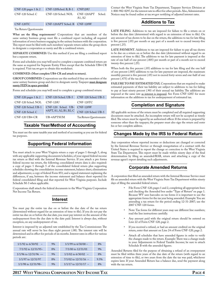| $CNF-120$ pages $1 & 2$ | $CNF-120Sched. B, B-1$ $CNF120U$ |  |                   |
|-------------------------|----------------------------------|--|-------------------|
| CNF-120 Sched. C        | CNF-120 Sched. NOL               |  | CNF-120APT Sched. |
| CNF-120TC               | CNF-120APT Sched. B CNF-120W     |  |                   |

Tax Return Questionnaire

**What are the filing requirements?** Corporations that are members of the same unitary business group must file a combined report including all required information of every business engaging in the unitary business with the corporation. This report must be filed with each members' separate return unless the group elects to designate a corporation as surety and file a combined return.

SEPARATE COMBINED: Use this method if you are filing a combined report but a separate return.

Forms and schedules you may/will need to complete a separate combined return are the same as required for Separate Entity Filers except that the Schedule UB4-CR is required. Visit tax.wv.gov to obtain this worksheet.

#### **Combined: (Must complete UB4-CR and attach to return).**

**Group Combined:** Corporations use this method if they are members of the same unitary business group and elect to designate surety. Taxpayer **must designate surety FEIN in space provided**.

Forms and schedules you may/will need to complete a group combined return:

| $CNF-120$ pages $1 & 2$ | CNF-120 Sched. UB-5         | CNF-120 Sched. UB-3      |
|-------------------------|-----------------------------|--------------------------|
| CNF-120 Sched. NOL      | <b>CNF-120U</b>             | CNF-120TC                |
| CNF-120 Sched, UB-1     | CNF-120 Sched. UB- CNF-120W |                          |
| CNF-120 Sched. C        | 4APT, A1, A2, B1, B2, C     | CNF-120 Sched. UB-5      |
| $CNF-120$ UB4-CR        | UB-4APTSUM                  | Tax Return Questionnaire |

#### **Taxable Year/Method of Accounting**

You must use the same taxable year and method of accounting as you use for federal tax purposes.

#### **Supporting Federal Information**

You must attach to your West Virginia return a copy of pages 1 through 5, along with any applicable supporting documents/schedules, of your signed federal income tax return as filed with the Internal Revenue Service. If you attach a pro forma federal income tax return, the following consolidated return data is also required: a copy of pages 1 through 5 of the consolidated federal return plus supporting schedules showing the consolidation income statement, balance sheet, eliminations and adjustments; a copy of federal Form 851; and a signed statement explaining the differences, if any, between the income statement and balance sheet reported for federal consolidated filing and that reported for West Virginia purposes. Include Schedule M-3 when applicable.

Corporations shall attach the federal documents to the West Virginia Corporation Net Income Tax Return.

### **Interest**

You must pay the entire tax due on or before the due date of the tax return (determined without regard for an extension of time to file). If you do not pay the entire tax due on or before the due date, you must pay interest on the amount of the underpayment from the due date to the date paid. Interest is always due, without exception, on any underpayment of tax.

Interest is imposed by an adjusted rate established by the Tax Commissioner. The annual rate will never be less than eight percent (.08). The interest rate will be determined and in effect for periods of six months. Interest rates in effect for various periods are:

| $1/1/92$ to 6/30/92 –    | 9% | $1/1/99$ to $6/30/00$ –  | 8%    |
|--------------------------|----|--------------------------|-------|
| $7/1/92$ to $12/31/95-$  | 8% | $7/1/00$ to $12/31/01$   | $9\%$ |
| $1/1/96$ to $12/31/96$ — | 9% | $1/1/02$ to 6/30/02 –    | 8%    |
| 1/1/97 to 12/31/97       | 8% | $7/1/02$ to $12/31/16$ - | 9.5%  |
| $1/1/98$ to $12/31/98-$  | 9% | $1/1/17$ to $12/31/17$ – | 8%    |

Contact the West Virginia State Tax Department, Taxpayer Services Division at 1-800-982-8297, for the interest rate in effect for other periods. Also, Administrative Notices may be found online at tax.wv.gov notifying of adjusted interest rates.

#### **Additions to Tax**

LATE FILING. Additions to tax are imposed for failure to file a return on or before the due date (determined with regard to an extension of time to file). On any amount of tax shown to be due on the return, the additions to tax for late filing is five percent (.05) per month or any part of a month not to exceed twenty-five percent (.25).

LATE PAYMENT. Additions to tax are imposed for failure to pay all tax shown to be due on a return on or before the due date (determined without regard to an extension of time to file). The additions to tax for late payment is imposed at the rate of one half of one percent (.005) per month or part of a month not to exceed twenty-five percent (.25).

When both the five percent (.05) additions to tax for late filing and the one half of one percent (.005) additions to tax for late payment are imposed, the maximum monthly percent is five percent (.05) not to exceed forty-seven and one-half of one percent (.475) of the tax due.

FAILURE TO PAY ESTIMATED TAX. Corporations that are required to make estimated payments of their tax liability are subject to additions to tax for failing to pay at least ninety percent (.90) of their annual tax liability. The additions are imposed at the same rate as interest is imposed. See Form CNF-120U for more information on the additions to tax for underpayment of estimated tax.

#### **Completion and Signature**

All applicable sections of the return must be completed and all required supporting documents must be attached. An incomplete return will not be accepted as timely filed. The return must be signed by an authorized officer. If the return is prepared by someone other than the taxpayer, the preparer must also sign the return and enter his or her complete address.

#### **Changes Made by the IRS to Federal Return**

Any corporation whose reported income or deductions are changed or corrected by the Internal Revenue Service or through renegotiation of a contract with the United States is required to report the change or correction to the West Virginia State Tax Department. This report must be made within ninety days of the final determination by filing an amended/RAR, return and attaching a copy of the revenue agent's report detailing such adjustments.

### **Corporate Amended Returns**

A corporation that filed an amended return with the Internal Revenue Service must file an amended return with the West Virginia State Tax Department within ninety days of filing the amended federal return.

- File Form CNF-120, pages 1 and 2, completing all appropriate lines and checking the Amended box under "Type of Return" on page 1. Because WV uses barcodes on tax forms it is important to use the appropriate forms for the tax year being amended. Example: You are amending a tax return for the period ending 12-31-2007; use the 2007 CNF-120 forms.
- Note: Tax forms for different years may use different line numbers; read the line instructions carefully.
- Any amount paid with the original return should be entered on Line 22 of Form CNF-120, page 2.
- If you received a refund, or had an amount credited on the original return, enter that amount on Line 24 of Form CNF-120, page 2.
- Attach all schedules that have amended figures in order to verify the changes made to the return. Example: There was a change made to your Adjustments to Federal Taxable Income; be sure to attach Schedule B with the amended figures.

Amended Returns filed for the purpose of obtaining a refund of an overpayment must be filed within three years of the due date of the return (with regard to an extension of time to file), or two years from the date the tax was paid, whichever expires later. If your Amended Return has a balance due, send the payment along with the tax return.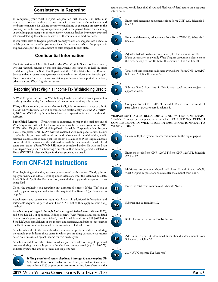# **Consistency in Reporting**

In completing your West Virginia Corporation Net Income Tax Return, if you depart from or modify past procedures for classifying business income and nonbusiness income, for valuing property or including or excluding property in the property factor, for treating compensation paid in the payroll factor, for including or excluding gross receipts in the sales factor, you must disclose by separate attached schedule detailing the nature and extent of the variances or modifications.

If you make sales of tangible personal property which are shipped into a state in which you are not taxable, you must identify the state to which the property is shipped and report the total amount of sales assigned to such state.

# **Confidential Information**

Tax information which is disclosed to the West Virginia State Tax Department, whether through returns or through department investigation, is held in strict confidence by law. The State Tax Department, the United States Internal Revenue Service and other states have agreements under which tax information is exchanged. This is to verify the accuracy and consistency of information reported on federal, other state, and West Virginia tax returns.

#### **Reporting West Virginia Income Tax Withholding Credit**

A West Virginia Income Tax Withholding Credit is created when a payment is made by another entity for the benefit of the Corporation filing this return.

**Filing** – If you submit your return electronically, it is not necessary to use or submit a CNF-120W. Information will be transmitted electronically once the WV/NRW-2, 1099, or WVK-1 Equivalent issued to the corporation is entered within the software.

Paper Filed Returns - If your return is submitted on paper, the total amount of West Virginia tax withheld for the corporation must be shown on your Form CNF-120W, West Virginia Withholding-Credit Schedule Corporation Net Income Tax. A completed CNF-120W *must* be enclosed with your paper return. Failure to submit this document will result in the disallowance of the withholding credit claimed. **Note**: Local or municipal fees cannot be claimed as West Virginia income tax withheld. If the source of the withholding credit is for a nonresident sale of real estate transaction, a Form WV/NRSR must be completed and on file with the State Tax Department prior to submitting a tax return. If withholding credit is related to Form WV/NRSR, please indicate in the box provided on line 21.

# **Form CNF-120 Instructions**

Enter beginning and ending tax year dates covered by this return. Clearly print or type your name and address. If filing under extension, enter the extended due date. In the "Check Applicable Boxes" section, mark all that apply to the corporate return being filed.

Check the applicable box regarding any disregarded entities. If the "Yes" box is marked, please complete and attach the required Tax Return Questionnaire on page 24.

Attachments and statements required: Attach all additional information and statements required as part of your Form CNF-120 as they apply to your filing method.

**Attach a copy of pages 1 through 5 of your signed federal return (Form 1120)**, and Schedule M-3 if applicable. If filing separate West Virginia and consolidated federal, attach your pro forma federal, consolidated federal Form 851 (Affiliation Schedule), plus spreadsheets of the income and expenses, and balance sheet entries for EVERY corporation included in the consolidated federal return.

Attach a schedule of other states in which you have property or paid salaries during the taxable year. Indicate those states in which you are filing corporate tax returns based on, or measured by, net income for this taxable year.

Attach a schedule of other states in which you have sales of tangible personal property during the taxable year and in which you are not taxed (e.g. P.L.86-272). Indicate by state the amount of sales not subject to tax.



**If filing a combined return skip lines 1 through 13 and complete UB Schedules.** Enter total taxable income from your federal income tax return Form 1120 or your pro forma return. A "pro forma" return is the return that you would have filed if you had filed your federal return on a separate return basis.





2

line 13.

# **L <sup>i</sup> <sup>n</sup> <sup>e</sup>**



Enter total decreasing adjustments from Form CNF-120, Schedule B, line 26.

Enter total increasing adjustments from Form CNF-120, Schedule B,

#### **L <sup>i</sup> <sup>n</sup> <sup>e</sup>**



Adjusted federal taxable income (line 1 plus line 2 minus line 3). If this corporation is a wholly West Virginia corporation please check the box and skip to line 10. Enter the amount of line 4 in line 10.



Total nonbusiness income allocated everywhere (Form CNF-120APT, Schedule A-1, line 8, column 3).

# **L <sup>i</sup> <sup>n</sup> <sup>e</sup>**



Subtract line 5 from line 4. This is your total income subject to apportionment.

#### **L <sup>i</sup> <sup>n</sup> <sup>e</sup>**

7

Complete Form CNF-120APT Schedule B and enter the result of part 1, line 8; part 2 or part 3, column 3.

**\*\*Important note regarding line 7\*\*** Form CNF-120APT, Schedule B must be completed and attached. FAILURE TO ATTACH **completed form will result in 100% apportionment to West Virginia.**



Line 6 multiplied by line 7 (carry this amount to the top of page 2).



Enter the result from CNF-120APT from CNF-120APT, Schedule A2, line 12.



Multistate corporations should add lines 8 and 9 and wholly West Virginia corporations should enter the amount from line 4.



Enter the total from column 6 of Schedule NOL.



Subtract line 11 from line 10.



REIT Inclusion and other Taxable income



15 **L <sup>i</sup> <sup>n</sup> <sup>e</sup>** Add lines 12 and 13. Combined filers should enter amount from Schedule UB-3, line 20.

2017 WV Corporate Tax Rate .065.



**L <sup>i</sup> <sup>n</sup> <sup>e</sup>**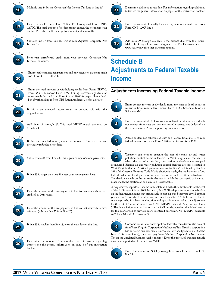

Multiply line 14 by the Corporate Net Income Tax Rate in line 15.



Enter the result from column 2, line 17 of completed Form CNF-120TC. The total amount of credits cannot exceed the net income tax on line 16. If the result is a negative amount, enter zero (0).



Subtract line 17 from line 16. This is your Adjusted Corporate Net Income Tax.



Prior year carryfoward credit from your previous Corporate Net Income Tax return.



Enter total estimated tax payments and any extension payment made with Form CNF-120EXT.



Enter the total amount of withholding credit from Form NRW-2, Form WVK-1, and/or Form 1099 if filing electronically. Amount must match the total from Form CNF-120W for paper filers. Check box if withholding is from NRSR (nonresident sale of real estate).



If this is an amended return, enter the amount paid with the original return.



Add lines 19 through 22. This total MUST match the total on Schedule C.



If this an amended return, enter the amount of an overpayment previously refunded or credited.



Subtract line 24 from line 23. This is your company's total payments.



If line 25 is larger than line 18 enter your overpayment here.



Enter the amount of the overpayment in line 26 that you wish to have credited to 2018 taxes.



Enter the amount of the overpayment in line 26 that you wish to have refunded (subtract line 27 from line 26).



If line 25 is smaller than line 18, enter the tax due on this line.



Determine the amount of interest due. For information regarding interest, see the general information on page 4 of this instruction booklet.



Determine additions to tax due. For information regarding additions to tax, see the general information on page 4 of this instruction booklet.



Enter the amount of penalty for underpayment of estimated tax from Form CNF-120U, line 6



Add lines 29 through 32. This is the balance due with this return. Make check payable to West Virginia State Tax Department or see www.tax.wv.gov for other payment options.

# **Schedule B Adjustments to Federal Taxable Income**

# **Adjustments Increasing Federal Taxable Income**

# **L <sup>i</sup> <sup>n</sup> <sup>e</sup>**



Enter exempt interest or dividends from any state or local bonds or securities from your federal return Form 1120, Schedule K or on Schedule M-1.



Enter the amount of US Government obligation interest or dividends not exempt from state tax, less any related expenses not deducted on the federal return. Attach supporting documentation.



Attach an itemized schedule of taxes and licenses from line 17 of your federal income tax return, Form 1120 or pro forma Form 1120.



Taxpayers can elect to expense the cost of certain air and water pollution control facilities located in West Virginia in the year in which the cost of acquisition, construction or development was paid or incurred. Eligible air and water pollution control facilities are those located in West Virginia that are "certified pollution control facilities" as defined by Section 169 of the Internal Revenue Code. If this election is made, the total amount of any federal deduction for depreciation or amortization of such facilities is disallowed. The election is made on the return for the year in which the cost is paid or incurred. Once made, the election or non-election is irrevocable.

A taxpayer who reports all income to this state will make the adjustments for the cost of the facilities on CNF-120 Schedule B, line 21. The depreciation or amortization on the facilities, including that attributable to cost expensed this year as well as prior years, deducted on the federal return, is entered on CNF-120 Schedule B, line 4. A taxpayer who is subject to allocation and apportionment makes the adjustment for the cost of the facilities on Form CNF-120APT Schedule A-2, line 9, column 3. The depreciation or amortization on the facilities deducted on the federal return for this year as well as previous years, is entered on Form CNF-120APT Schedule A-2, lines 10 and 11 of column 3.



Corporations which are exempt from federal income tax are also exempt from West Virginia Corporation Net Income Tax. If such a corporation has unrelated business taxable income (as defined by Section 512 of the Internal Revenue Code), they must pay West Virginia Corporation Net Income Tax on the unrelated business taxable income. Enter the unrelated business taxable income as reported on Federal Form 990T.

Enter the amount of Net Operating Loss from Federal Form 1120,

6 **L <sup>i</sup> <sup>n</sup> <sup>e</sup>**

line 29a.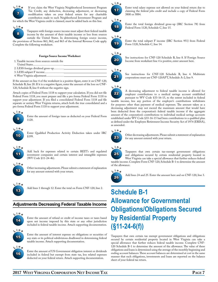

If you claim the West Virginia Neighborhood Investment Program Tax Credit, any deduction, decreasing adjustment, or decreasing modification taken on your federal return for any charitable contribution made to such Neighborhood Investment Program and for which the West Virginia credit is claimed, must be added back on this line.



Taxpayers with foreign source income must adjust their federal taxable income by the amount of their taxable income or loss from sources outside the United States. In determining foreign source income, the provisions of Sections 861, 862, and 863 of the Internal Revenue Code apply. Complete the following worksheet.

#### **Foreign Source Income Worksheet**

- 1. Taxable income from sources outside the
- United States...........................................
- 2. LESS foreign dividend gross-up..............
- 3. LESS subpart F income...........................
- 4. West Virginia adjustment........................

If the amount on line 4 of the worksheet is a positive figure, enter it on CNF-120, Schedule B, line 20. If it is a negative figure, enter the amount of the loss on CNF-120, Schedule B, line 8 without the negative sign.

Attach copies of Federal Form 1118 to support your calculation. If you did not file Federal Form 1118, you must prepare and file a pro forma Federal Form 1118 to support your adjustment. If you filed a consolidated Federal Form 1118 and file separate or unitary West Virginia returns, attach both the true consolidated and a pro forma Federal Form 1118 to support your adjustment.

# 9 **L <sup>i</sup> <sup>n</sup> <sup>e</sup>**

Enter the amount of foreign taxes as deducted on your Federal Form 1120.







Add back for expenses related to certain REIT's and regulated investment companies and certain interest and intangible expenses (WV Code §11-24-4b).



Other increasing adjustments. Please submit a statement of explanation



Add lines 1 through 12. Enter the total on Form CNF-120, line 2.

# **Adjustments Decreasing Federal Taxable Income**

for any amount entered with your return.



Enter the amount of refund or credit of income taxes or taxes based upon net income imposed by this state or any other jurisdiction included in federal taxable income. Attach supporting documentation.



16 **L <sup>i</sup> <sup>n</sup> <sup>e</sup>** Enter the amount of interest expense on obligations or securities of any state or its political subdivisions disallowed in determining federal taxable income. Attach supporting documentation.

Enter the amount of US Government obligation interest or dividends included in federal but exempt from state tax, less related expenses deducted on your federal return. Attach supporting documentation.



Enter total salary expense not allowed on your federal return due to claiming the federal jobs credit and include a copy of Federal Form 3800 or 5884.



Enter the total foreign dividend gross-up (IRC Section 78) from Federal Form 1120, Schedule C, line 15.

### **L <sup>i</sup> <sup>n</sup> <sup>e</sup>**



Enter the total subpart F income (IRC Section 951) from Federal Form 1120, Schedule C, line 14.



See instructions for CNF-120 Schedule B, line 8. If Foreign Source Income from worksheet line 4 is positive, enter amount here.



See instructions for CNF-120 Schedule B, line 4. Multistate corporations must use CNF-120APT, Schedule A-2, line 9.

# **L <sup>i</sup> <sup>n</sup> <sup>e</sup>**

22 A decreasing adjustment to federal taxable income is allowed for employer contributions to a medical savings account established pursuant to WV Code §33-16-15, to the extent included in federal taxable income, less any portion of the employer's contributions withdrawn for purposes other than payment of medical expenses. The amount taken as a decreasing adjustment may not exceed the maximum amount that would have been deducted from the corporation's federal taxable income if the aggregate amount of the corporation's contributions to individual medical savings accounts established under WV Code §33-16-15 had been contributions to a qualified plan as defined under the Employee Retirement Income Security Act of 1974 (ERISA), as amended.



Other decreasing adjustments. Please submit a statement of explanation for any amount entered with your return.



Taxpayers that own certain tax-exempt government obligations and obligations secured by certain residential property located in West Virginia can take a special allowance that further reduces federal taxable income. Complete Form CNF-120, Schedule B-1 to determine the amount



of the allowance.

Add lines 24 and 25. Enter the amount here and on CNF-120, line 3.

# **Schedule B-1 Allowance for Governmental Obligations/Obligations Secured by Residential Property (§11-24-6(f))**

Taxpayers that own certain tax exempt government obligations and obligations secured by certain residential property located in West Virginia can take a special allowance that further reduces federal taxable income. Complete CNF-120 Schedule B-1 to determine the amount of the allowance. The value of these obligations and loans is determined using the average of the monthly beginning and ending account balances. These account balances are determined at cost in the same manner that such obligations, investments and loans are reported on the balance sheet of your federal tax return.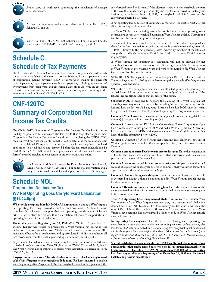

Attach copy of worksheets supporting the calculation of average monthly balance.



Average the beginning and ending balance of Federal Form 1120, Schedule L, line 15.



CNF-120, line 1 plus CNF-120, Schedule B, line 13 minus line 24, plus Form CNF-120APT, Schedule A-2, lines 9, 10, and 11.

# **Schedule C Schedule of Tax Payments**

Use this schedule to list any Corporation Net Income Tax payments made which the taxpayer is applying to this return. List the following for each payment: name of corporation making payment; FEIN of corporation making the payment; date of payment; type of payment (estimated payment, including application of overpayment from prior year, and extension payments made with an extension return); and amount of payments. The total amount of payments must equal the amount reported on Form CNF-120, line 23.

# **CNF-120TC Summary of Corporation Net Income Tax Credits**

The CNF-120TC, Summary of Corporation Net Income Tax Credits, is a form used by corporations to summarize the tax credits that they claim against their Corporation Net Income Tax liability. In addition to completing the CNF-120TC, each tax credit has a schedule or form that is used to determine the amount of credit that can be claimed. Please note that some tax credit schedules require a completed application to be submitted and approved before the tax credit schedule can be filed. Both the CNF-120TC and the appropriate credit calculation schedule(s) or form(s) must be attached to your return in order to claim a tax credit.



Total credits: Add lines 1 through 16. Enter the amount in column 2, Credits Used, on CNF-120, line 17. For additional information and a copy of the tax credit schedules and applications please visit tax.wv.gov.

# **Schedule NOL Corporation Net Income Tax WV Net Operating Loss Carryforward Calculation (§11-24-6(d))**

**Who should complete Schedule NOL?** All corporations claiming a West Virginia net operating loss carry forward deduction on Form CNF-120, line 11 must complete this schedule to support their net operating loss deduction. Schedule NOL is not a claim for refund. It is a calculation schedule to support the net operating loss carryforward deduction.

**For taxable years ending after June 30, 1988** West Virginia Corporation Net Income Tax law was revised to provide for a West Virginia net operating loss deduction to be used to reduce West Virginia taxable income of a corporation. The revision is effective for all taxable years ending after June 30, 1988, and applied to all loss carried over from the taxable year ending on or before June 30, 1988.

Any amount claimed as a federal net operating loss deduction must be added back to federal taxable income on West Virginia Form CNF-120, Schedule B, line 6. The West Virginia net operating loss carryforward deduction is entered on Form CNF-120, line 11.

**Taxpayers now have a West Virginia election as to the carryback or carryforward of the West Virginia net operating loss deduction.** For losses incurred in taxable years beginning after August 5, 1997, the carryback period is two years and the

carryforward period is 20 years. If the election is made to not carryback any part of the loss, the carryforward period is 20 years. For losses incurred in taxable years beginning on or before August 5, 1997, the carryback period is 3 years and the carryforward period is 15 years.

A net operating loss deduction of a multistate corporation is subject to West Virginia allocation and apportionment rules.

The West Virginia net operating loss deduction is limited to net operating losses incurred by a corporation which did business in West Virginia and filed Corporation Net Income Tax Returns in prior taxable years.

The amount of net operating loss deduction available to an affiliated group, which elects for the first time to file a consolidated return for a taxable year ending after July 1, 1988, is limited to the net operating losses incurred by members of the affiliated group which did business in West Virginia and filed separate West Virginia returns in prior years.

A West Virginia net operating loss deduction will not be allowed for net operating losses of those members of the affiliated group which did no business in West Virginia in prior taxable years and were not required to file West Virginia Corporation Net Income Tax Returns.

**SRLY RULES**. The separate return limitation years (SRLY) rules set forth in Treasury Regulation §1.1502 apply in determining the allowable West Virginia net operating loss deduction.

When the SRLY rules apply, a member of an affiliated group's net operating loss carried forward from its separate return year can only offset that portion of the taxable income attributable to that member of the group.

**Schedule NOL** is designed to support the claiming of a West Virginia net operating loss carryforward deduction by providing information on the year of the loss and how the loss was/is being used. Enter on Schedule NOL those loss years that give rise to the current taxable year's net operating loss carryforward deduction.

**Column 1. Year of loss**. Enter in column 1 the applicable tax year ending date(s) for the year(s) that you had net operating loss(es).

**Column 2.** Enter name and FEIN of the Consolidated Parent Corporation if you filed a consolidated return prior to 2009 and had a West Virginia Net Operating Loss or enter name and FEIN of all separate members' West Virginia net operating losses that filed separately prior to 2009.

**Column 3.** Amount of West Virginia net operating loss. Enter the amount of West Virginia net operating loss that corresponds to the year of the loss shown in Column 1.

**Column 4. Amount carried back to years prior to loss year.** Enter the total amount of loss for the taxable year entered in column 1 that was carried back to a year, or years prior to the year of the actual loss.

**Column 5. Amount carried forward to years prior to this year.** Enter the total amount of loss for the taxable year entered in column 1 that was carried forward to a year, or years, prior to the current taxable year.

**Column 6. Amount being used this year.** Enter the amount of loss for the taxable year entered in column 1 that is being used to offset West Virginia taxable income for the current taxable year.

**Column 7. Remaining unused net operating loss.** Enter the amount of loss for the tax year entered in column 1 that remains to be carried to a taxable year subsequent to the current taxable year.

**Total Net Operating Loss Carryforward Deduction for Current Taxable Year.** The amount of the West Virginia net operating loss carryforward deduction claimed on Form CNF-120, line 11 of the current year's tax return must equal the sum of Form CNF-120, Schedule NOL, column 6. In no instance may the West Virginia net operating loss carryforward deduction reduce West Virginia taxable income below zero.

**Net operating loss carryback.** Generally, a taxpayer having a net operating loss must first carry back that loss to the two preceding tax years before carrying the loss forward. A refund initiated by a net operating loss carry back must be claimed within three years from the original due date of the return for the loss year (with regard to an extension) by the filing of Form CNF-139. *Please note: It is not necessary to file an amended return when filing Form CNF-139.*

**Special legislative changes made during 1993 have limited the amount of net operating loss that can be carried back when the loss is incurred in a taxable year beginning after December 31, 1992. No more then \$300,000 of net operating loss from any taxable year beginning after December 31, 1992 may be carried back to any previous taxable year.**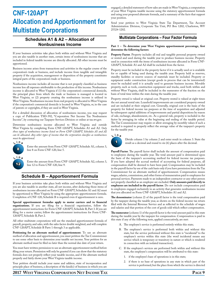# **CNF-120APT Allocation and Apportionment for Multistate Corporations**

### **Schedules A1 & A2 – Allocation of Nonbusiness Income**

If your business activities take place both within and without West Virginia and you are also taxable in another state, certain items of nonbusiness income that are included in federal taxable income are directly allocated. All other income must be apportioned.

Business income arises from transactions and activities in the regular course of the corporation's trade or business, and include income from tangible and intangible property if the acquisition, management or disposition of the property constitutes integral parts of the corporation's trade or business.

Nonbusiness income includes all income that is not properly classified as business income less all expenses attributable to the production of this income. Nonbusiness income is allocated to West Virginia if (1) the corporation's commercial domicile, the principal place from which the trade or business is managed is located in West Virginia; or (2) property creating the nonbusiness income is utilized in West Virginia. Nonbusiness income from real property is allocated to West Virginia if the corporation's commercial domicile is located in West Virginia, or, in the case of patents or copyrights, if they are used in West Virginia.

For a detailed discussion of allocation of nonbusiness income, you may request a copy of Publication TSD-392, "Corporation Net Income Tax Nonbusiness Income", by contacting our Taxpayer Services Division or online at tax.wv.gov.

Determine nonbusiness income allocated to West Virginia and outside West Virginia by completing Form CNF-120APT, Schedules A1 and A2. *Only those types of nonbusiness income listed on Form CNF-120APT, Schedules A1 and A2 can be allocated. Any other types of income that the corporation classifies as nonbusiness must be apportioned.*



12

Enter the amount from Form CNF-120APT, Schedule A1, column 3, line 8 on Form CNF-120, line 5.

Enter the amount from Form CNF-120APT, Schedule A2, column 3, line 12 to Form CNF-120, line 9.

# **Schedule B – Apportionment Formula**

If your business activities take place both within and without West Virginia and you are also taxable in another state, all net income, after deducting those items of nonbusiness income allocated on Form CNF-120APT, Schedules A1 and A2 must be apportioned to West Virginia by using the appropriate apportionment formula. Completion of CNF-120, Schedule B is required even if apportionment is zero.

**Special apportionment formulas apply to motor carriers and to financial organizations.** If you are filing for a financial organization, follow the apportionment instructions for Form CNF-120APT, Schedule B, Part 3. If you are filing for a motor carrier, follow the apportionment instructions for Form CNF-120APT, Schedule B, Part 2.

All other multistate corporations will use the standard apportionment formula of payroll, property, and sales, with the sales factor double weighted, and will complete CNF-120APT, Schedule B Parts 1 through 3 as applicable.

**Petitioning for an alternate method of apportionment**. To use an alternate method of allocation and apportionment, you must petition the Tax Commissioner to use some other basis to determine your taxable net income. Your petition for an alternate method must be filed no later than the normal due date of your return.

You must have written permission to use an alternate apportionment method before filing your return. Permission will only be granted if you can show that the statutory formula does not properly reflect your taxable income, and if the alternate method properly and fairly shows your West Virginia taxable income.

Your petition should include your name and address, state of incorporation and principle place of business, a description of the kind(s) of business in which you are

engaged, a detailed statement of how sales are made in West Virginia, a computation of your West Virginia taxable income using the statutory apportionment formula and using your proposed alternate formula, and a summary of the facts that support your position.

Send your petition to West Virginia State Tax Department, Tax Account Administration Division, Corporate Tax Unit, PO Box 1202, Charleston, WV 25324-1202.

#### **Multistate Corporations – Four Factor Formula**

#### **Part 1 – To determine your West Virginia apportionment percentage, first determine the following factors:**

**Property Factor**. Property includes all real and tangible personal property owned or rented and used during the taxable year to produce business income. Property used in connection with the items of nonbusiness income allocated in Form CNF-120APT, Schedule A1 and A2 shall be excluded from the factor.

Property must be included in the property factor if it is actually used or is available for or capable of being used during the taxable year. Property held as reserves, standby facilities or reserve sources of materials must be included. Property or equipment under construction (except goods in process that can be inventoried) must be excluded until it is actually used to generate business income. Movable property, such as tools, construction equipment and trucks, used both within and without West Virginia, shall be included in the numerator of the fraction on the basis of total time within the state during the taxable year.

Property owned is valued at original cost. Property rented is valued at eight times the net annual rental rate. Leasehold improvements are considered property owned and are included at their original cost. Generally, original cost is the basis of the property for federal income tax purposes at the time of acquisition and adjusted by subsequent capital additions of improvements and partial dispositions by reason of sale, exchange, abandonment, etc. As a general rule, property is included in the factor by averaging its value at the beginning and ending of the taxable period. The Tax Commissioner may require or allow averaging by monthly values if such a method is required to properly reflect the average value of the taxpayer's property for the taxable year.



Divide column 1 by column 2 and enter result in column 3. State the result as a decimal and round to six (6) places after the decimal.

Payroll Factor. The payroll factor shall include the amount of compensation paid to employees during the taxable year. The total amount paid is determined upon the basis of the taxpayer's accounting method for federal income tax purposes. If you have adopted the accrual method of accounting for federal purposes, all compensation shall be deemed to have been paid. Compensation may be included in the payroll factor by use of the cash basis only if you have permission from the Tax Commissioner for an alternate method of apportionment. Compensation means wages, salaries, commissions, and other forms of remuneration paid to employees for personal services. Payments made to an independent contractor or any other person not properly classified as an employee are excluded. **Only amounts paid directly to employees are included in the payroll factor**. Do not include compensation paid to employees engaged exclusively in an activity that generates nonbusiness income that you allocated on Form CNF-120APT, Schedules A1 and A2.

**The denominator** (column 2) of the payroll factor is the total compensation paid by the taxpayer during the taxable year, as shown on the federal income tax return filed with the Internal Revenue Service and as reflected in the schedule of wages and salaries and that portion of the cost of goods sold which reflect compensation.

**The numerator** (column 1) of the payroll factor is the total amount paid in this state during the taxable year by the taxpayer for compensation. Compensation is paid in this state if any of the following tests, applied consecutively, are met:

- A. The employee's service is performed entirely within this state;
- B. The employee's service is performed both within and without this state, but the service performed without this state is "incidental" to the employee's service within this state (the word incidental means any service which is temporary or transitory in nature or which is rendered in connection with an isolated transaction);
- C. If the employee's services are performed both within and without this state, the employee's compensation will be attributed to this state:
	- 1. if the employee's base of operations is in this state;
	- 2. if there is no base of operations in any state in which part of the service is performed, but the place from which the service is directed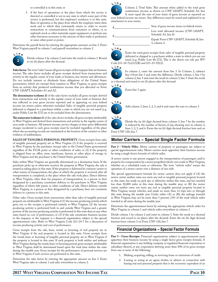or controlled is in this state; or

3. if the base of operations or the place from which the service is directed or controlled is not in any state in which some part of the service is performed, but the employee's residence is in this state. Base of operation is the place from which the employee starts their work and to which they customarily return in order to receive instructions or communications from customers or others, or to replenish stock or other materials, repair equipment, or perform any other functions necessary to the exercise of their trade or profession at some other point or points.

Determine the payroll factor by entering the appropriate amounts on line 2. Enter West Virginia payroll in column 1 and payroll everywhere in column 2.



Divide column 1 by column 2 and enter the result in column 3. Round to six (6) places after the decimal.

Sales factor. The term "sales" means all gross receipts of the taxpayer that are business income. The sales factor includes all gross receipts derived from transactions and activity in the regular course of your trade or business, less returns and allowances. Do not include interest or dividends from obligations of the United States government, which are exempt from taxation in West Virginia, or gross receipts from an activity that produced nonbusiness income that you allocated on Form CNF-120APT, Schedules A1 and A2.

**The denominator (column 2)** of the sales factor includes all gross receipts derived from transactions and activity in the regular course of your trade or business that was reflected in your gross income reported and as appearing on your federal income tax return unless otherwise excluded. Sales of tangible personal property delivered or shipped to a purchaser within a state in which you are not taxed (e.g. under Public Law 86-272) are to be excluded from the denominator.

**The numerator (column 1)** of the sales factor includes all gross receipts attributable to West Virginia and derived from transactions and activity in the regular course of your trade or business. All interest income, service charges or time-price differential charges incidental to such gross receipts must be included regardless of the place where the accounting records are maintained or the location of the contract or other evidence of indebtedness.

**Sales of tangible personal property.** Gross receipts from sales of tangible personal property are in West Virginia (1) if the property is received in West Virginia by the purchaser (except sales to the United States government) regardless of the F.O.B. point or other conditions of sales; or (2) if the property is shipped from an office, store, warehouse, factory, or other place of storage in West Virginia and the purchaser is the United States government.

Sales within West Virginia are generally determined on a destination basis. If the purchaser picks up or otherwise receives the property in West Virginia, the sale is treated as taking place in this state. If the property is delivered by common carrier or other means of transportation, the place at which the property is received, after all transportation is completed, is the place where the sale took place. Direct delivery in West Virginia, other than for purposes of transportation, to a person or firm designated by a purchaser, constitutes delivery to the purchaser in West Virginia regardless of where title passes or other conditions of sale. Direct delivery outside West Virginia, to a person or firm designated by a purchaser, does not constitute delivery to a person in this state.

Other sales. Gross receipts from transactions other than sales of tangible personal property are attributable to West Virginia if (1) the income producing activity which gives rise to the receipts is performed entirely in West Virginia; (2) the income producing activity is performed both in and outside West Virginia and a greater portion of the income producing activity is performed in this state than in any other state, based on cost of performance; or (3) if the sale constitutes business income to the taxpayer, or the taxpayer is a financial organization subject to the special apportionment rules. Refer to West Virginia Code §11-24-7 for a discussion of income producing activity and cost of performance.

Gross receipts from the sale, lease, rental, or licensing of real property are in West Virginia if the real property is located in this state. Gross receipts from the rental, lease or licensing of tangible personal property are in West Virginia if the property is located in this state. If such property is both within and without West Virginia during the rental, lease or licensing period, gross receipts attributable to West Virginia shall be determined based upon the total time within the state during the taxable year. Gross receipts for the performance of personal services are in West Virginia if such services are performed in this state.

Determine the sales factor by entering the appropriate amount on line 3. Enter West Virginia sales in column 1 and sales everywhere in column 2.



Column 2. Total Sales. This amount when added to the total gross nonbusiness income as shown on CNF-120APT, Schedule A1, line 8, must equal the sum of your items of gross income as reported on

your federal income tax return. Any differences must be noted and explained in an attachment to your return.

| Sum of gross income items on federal return                      |
|------------------------------------------------------------------|
| Less total allocated income (CNF-120APT,<br>Schedule A1, line 8) |
| Equals Form CNF-120APT, Schedule B, line<br>3, column 2.         |





Enter the total gross receipts from sales of tangible personal property delivered or shipped to a purchaser within a state in which you are not taxed (e.g. Public Law 86-272). This is the throw out rule per WV Code §11-24-7(e)(11)(B) and §11-23-5(l)(2).



In column 1, enter the amount from line 3. In Column 2, subtract line 4 from line 3 and enter the difference. Divide column 1, line 5 by column 2, line 5 and enter the result in column 3, line 5. State the result

as a decimal and round to six (6) places after the decimal.







Add column 3, lines 1, 2, 5, and 6 and enter the sum in column 3.

8 **L <sup>i</sup> <sup>n</sup> <sup>e</sup>**

Divide the six (6) digit decimal from column 3, line 7 by the number 4, reduced by the number of factors, if any, showing zero in column 2, lines 1, 2, 5, and 6. Enter the six (6) digit decimal fraction here and on Form CNF-120, line 7.

# **Motor Carriers – Special Single Factor Formula**

**Part 2 – Vehicle Miles**. Motor carriers of property or passengers are subject to special apportionment rules. Motor carriers must apportion their business income by using a single factor formula of vehicle miles.

A motor carrier is any person engaged in the transportation of passengers and/or property for compensation by a motor propelled vehicle over roads in West Virginia, whether on a scheduled route or otherwise. The term "vehicle miles" means the operation of a motor carrier over a distance of one mile.

The special apportionment formula for motor carriers does not apply if (A) the motor carrier neither owns nor rents any real or tangible personal property located in this state, has made no pick ups or deliveries within this state, and has traveled less than 50,000 miles in this state during the taxable year; or (B) the motor carrier neither owns nor rents any real or tangible personal property located in West Virginia, except vehicles, and made no more than 12 trips into or through this state during the taxable year. Under either (A) or (B), the mileage traveled in West Virginia may not be more than 5 percent (.05) of the total vehicle miles traveled in all states during the taxable year.

Determine the apportionment factor by entering the appropriate vehicle miles for West Virginia in column 1 and vehicle miles everywhere in column 2.

Divide column 1 by column 2 and enter in column 3. State the result as a decimal fraction and round to six places after the decimal. Enter the six (6) digit decimal fraction from column 3 on Form CNF-120, line 7.

### **Financial Organizations – Special Factor Formula**

Part 3 - Gross Receipts. Financial organizations subject to apportionment must apportion their business income by using a single factor gross receipts formula. A financial organization is any holding company or regulated financial corporation or subsidiary thereof, or any corporation deriving more than 50% of its gross receipts from one or more of the following:

- 1. Making, acquiring, selling, or servicing loans or extensions of credit.
- 2. Leasing or acting as an agent, broker, or advisor in connection with leasing real and personal property that is the economic equivalent of an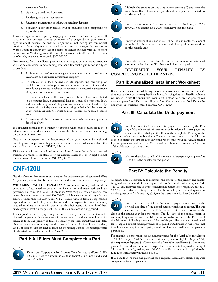extension of credit.

- 3. Operating a credit card business.
- 4. Rendering estate or trust services.
- 5. Receiving, maintaining or otherwise handling deposits.
- 6. Engaging in any other activity with an economic effect comparable to any of the above.

Financial organizations regularly engaging in business in West Virginia shall apportion their business income by means of a single factor gross receipts apportionment formula. A financial organization not having its commercial domicile in West Virginia is presumed to be regularly engaging in business in West Virginia if during any year it obtains or solicits business with 20 or more persons within West Virginia, or the sum of its gross receipts attributable to sources in West Virginia equals or exceeds \$100,000.00.

Gross receipts from the following ownership interest (and certain related activities) will not be considered in determining whether a financial organization is subject to taxation:

- 1. An interest in a real estate mortgage investment conduit, a real estate investment or a regulated investment company.
- 2. An interest in a loan backed security representing ownership or participation in a pool of promissory notes or certificates or interest that provide for payments in relation to payments or reasonable projections of payments on the notes or certificates.
- 3. An interest in a loan or other asset from which the interest is attributed to a consumer loan, a commercial loan or a secured commercial loan, and in which the payment obligation was solicited and entered into by a person that is independent and not acting on behalf of the owner; or an interest in the right to service or collect income from such a loan or asset.
- 4. An amount held in an escrow or trust account with respect to property described above.

If a financial organization is subject to taxation when gross receipts from these interests are not considered, such receipts must then be included when determining the amount of taxes owed.

Neither the numerator nor the denominator of the gross receipts factor should include gross receipts from obligations and certain loans on which you claim the special allowance on Form CNF-120, Schedule B-1.

Divide column 1 by column 2 and enter in column 3. State the result as a decimal fraction and round to six places after the decimal. Enter the six (6) digit decimal fraction from column 3 on Form CNF-120, line 7.

# **CNF-120U**

Use this form to determine if any penalty for underpayment of estimated West Virginia Corporation Net Income Tax is due and, if so, the amount of the penalty.

**Who must pay the penalty?** A corporation is required to file a declaration of estimated corporation net income tax and make estimated tax payments on Form WV/CNF-120ES if its West Virginia taxable income can reasonably be expected to exceed \$10,000.00, which equals a tax liability after tax credits of more than \$650.00 (Code §11-24-16). Estimated tax is a corporation's expected income tax liability minus its tax credits. A taxpayer is required to remit, in equal installments on the 15th day of the 4th, 6th, 9th, and 12th months of their taxable year, at least ninety percent (.90) of the tax due for the filing period.

If a corporation did not pay enough estimated tax by the due dates, it may be charged the penalty. This is true even if the corporation is due a refund when its return is filed. The penalty is figured separately for each installment due date. Therefore, the corporation may owe the penalty for an earlier installment due date, even if it paid enough tax later to make up the underpayment. The underpayment of estimated tax penalty rate will be 8% in 2017.

#### **Part I: All Filers Must Complete this Part**



Enter your Corporation Net Income Tax after credits (Form CNF-120, line 18). If this amount is less than \$650.00, skip lines 2 and 3 and enter 0 on line 5.



Multiply the amount on line 1 by ninety percent (.9) and enter the result here. This is the amount you should have paid in estimated tax for this taxable year.



Enter the Corporation Net Income Tax after credits from your 2016 return. If you did not file a 2016 return leave this line blank.

#### **L <sup>i</sup> <sup>n</sup> <sup>e</sup>**



Enter the smaller of line 2 or line 3. If line 3 is blank enter the amount from line 2. This is the amount you should have paid in estimated tax for this taxable year.

#### 5 **L <sup>i</sup> <sup>n</sup> <sup>e</sup>**

Enter the amount from line 4. This is the amount of estimated Corporation Net Income Tax that should have been paid.

#### **Determine your penalty by completing part II, III, and IV.**

#### **Part II: Annualized Installment Worksheet**

If your taxable income varied during the year, you may be able to lower or eliminate the amount of one or more required installments by using the annualized installment worksheet. To use the annualized installment method to figure the penalty, you must complete Part I, Part II, Part III, and Part IV of Form CNF-120U. Follow the line by line instructions entered on Form CNF-120U.

### **Part III: Calculate the Underpayment**



In column A, enter the estimated tax payments deposited by the 15th day of the 4th month of your tax year. In column B, enter payments made after the 15th day of the 4th month through the 15th day of the

6th month of your tax year. In column C, enter payments made after the 15th day of the 6th month through the 15th day of the 9th month of your tax year. In column D, enter payments made after the 15th day of the 9th month through the 15th day of the 12th month of the tax year.



If any of the columns in line 29 shows an underpayment, complete Part IV to figure the penalty for that period.

### **Part IV: Calculate the Penalty**

Complete lines 31 through 42 to determine the amount of the penalty. The penalty is figured for the period of underpayment determined under West Virginia Code §11-10-18a using the rate of interest determined under West Virginia Code §11- 10-17 or 17a, whichever is appropriate for the taxable year. For underpayments involving periods after January 1, 2018, see the instructions for lines 39 and 40.



Enter the date on which the installment payment was made or the original due date of the annual return, whichever is earlier. The due date of the return is the 15th day of the 4th month following the close of the taxable year for corporations. The due date of the annual return of an exempt organization with unrelated business taxable income is the 15th day of

the 5th month following the close of the taxable year. The payment of estimated tax is applied against underpayments of required installments in the order that installments are required to be paid, regardless of which installment the payment pertains to.

For example, a corporation has an underpayment for the April 15th installment of \$1,000. The June 15th installment requires a payment of \$2,500. On June 10th, the corporation deposits \$2,500 to cover the June 15th installment. \$1,000 of this payment is considered to be for the April 15th installment. The penalty for April 15th installment is figured to June 10th (56 days). The payment to be applied to the June 15th installment will then be \$1,500.

If you made more than one payment for a required installment, attach a separate computation for each payment.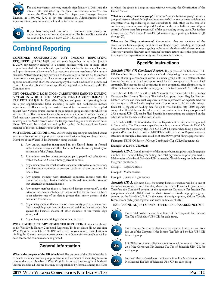

For underpayments involving periods after January 1, 2018, use the interest rate established by the State Tax Commissioner. You can contact the West Virginia State Tax Department, Taxpayer Services Division, at 1-800-982-8297 to get rate information. Administrative Notices

adjusting interest rates may also be found online at tax.wv.gov.



If you have completed this form to determine your penalty for underpaying your estimated Corporation Net Income Tax, enter the amount on line 6 and on Form CNF-120, line 32.

# **Combined Reporting**

**Combined corporation net income reporting REQUIRED** (§11-24-13a(j)). For tax years beginning on or after January 1, 2009, any taxpayer engaged in a unitary business with one or more other corporations shall file a combined report which includes the income, allocation, and apportionment of income of all corporations that are members of the unitary business. Notwithstanding any provision to the contrary in this article, the income of an insurance company, the allocation or apportionment related thereto and the apportionment factors of an insurance company shall not be included in a combined report filed under this article unless specifically required to be included by the Tax Commissioner.

**Net operating loss (NOL) carryovers earned during a year in which the taxpayer filed a consolidated TAX RETURN (§11-24-13c).** West Virginia computes net operating losses on a post-apportionment basis, including business and nonbusiness income adjustments. NOL's can only be carried forward (or backwards) to be applied against West Virginia source income of the combined group members to which it is attributable. NOL's that were incurred by an entity in a period in which the entity filed separately, cannot be used by other members of the combined group. There is an exception for NOL's earned when the taxpayer was filing on a consolidated basis. Those NOL's can be carried over and applied against the income of any former member of the consolidated (controlled) group.

**Water's-edge reporting.** Water's-Edge Reporting is mandated absent an affirmative election to report based upon a worldwide unitary combined report. Members of the Water's-Edge Reporting group include:

- 1. Any unitary member incorporated in the United States or formed under the laws of any state, the District of Columbia or any territory or possession of the United States;
- 2. Any unitary member whose average property, payroll and sales factors within the United States is twenty percent or more;
- 3. Any unitary member which is a domestic international sales corporation, a foreign sales corporation, or an export trade corporation as defined by federal law;
- 4. Any unitary member with effectively connected income with the conduct of a trade or business within the United States to the extent of that effectively connected income;
- 5. Any unitary member that is a "controlled foreign corporation", to the extent of the members' Subpart F income, unless that income is subject to an effective rate of tax that is greater than ninety percent of the maximum federal rate;
- 6. Any unitary member that earns more than twenty percent of its income from intangible property or service-related activities that are deductible against the business income of other members of the water's-edge group; and
- 7. Any unitary member doing business in a tax haven.

**Worldwide Unitary Combined Reporting:** You may choose to file Worldwide Unitary Combined Reporting. To do so, please fill out and sign West Virginia Form CNF-120OPT and attach to your return. This election is binding for 10 years unless a written request to withdraw for reasonable cause has been sent to the commissioner and granted.

#### **General Information**

**What is the purpose of the UB Schedules?** The purpose of the UB Schedules is to enable a unitary business group to determine the amount of its unitary business income that is attributable to West Virginia. A unitary business group's business income includes all income that may be apportioned by formula among the states

in which the group is doing business without violating the Constitution of the United States.

**What is a unitary business group?** The term "unitary business group" means a group of persons related through common ownership whose business activities are integrated with, dependent upon, and contribute to each other. In the case of a corporation, common ownership is defined as the direct or indirect ownership or control of more than fifty percent (.5) of the outstanding voting stock. For further instructions see WV Code 11-24-13f (a) waters-edge reporting-subdivision (1) through (7).

**What are the filing requirements?** Corporations that are members of the same unitary business group must file a combined report including all required information of every business engaging in the unitary business with the corporation. This report must be filed with each member's separate return unless the group elects to designate a corporation as surety and file a combined return.

### **Specific Instructions**

*Schedule UB4-CR Combined Report.* The purpose of the Schedule UB4- CR Combined Report is to provide a method of reporting the separate business income of multiple companies within a unitary group onto one statement. The business income is reported and apportioned for each company as if it were filed separately. The income for all companies is then combined, after eliminations, to allow the business income of the unitary group to be filed on one CNF-120 return.

The Schedule UB4-CR is a three tab Microsoft Excel spreadsheet for entering Corporate Net Income Tax data. The individual group types, Regular Entities, Motor Carriers, and Financial Organizations are represented on separate tabs for each tax type to allow for the varying rates of apportionment between the groups. Each tab is capable of holding data for up to two-hundred fifty (250) separate companies. Should the number of separate companies in the unitary group exceed 250; a second UB4-CR can be filed. Specific line instructions are contained on the schedule under the tab labeled Instructions.

The Schedule UB4-CR is located on the Tax Department website at tax.wv.gov and is formatted to Tax Department specifications in a common Microsoft Excel 97- 2003 format for consistency. The UB4-CR MUST be used when filing a combined report and/or combined return and MUST be emailed to the Tax Department as an attachment through a dedicated mailbox at **taxcit@wv.gov** if filing a paper return.

**Filename: FEIN** (Of Surety, if Group Combined)+Type(CR)+Sequence+.xls

#### **Example: 251234567CR001.xls**

Schedule UB-1. List all members of the unitary business group including group number (1-3), name, FEIN, year ending, and total payments and prior year credits. Make copies of the blank Schedule UB-1 as needed. The following list defines what the group numbers are:

Group 1 – Regular entities

Group 2 – Motor carriers

Group 3 – Financial organizations

**Schedule UB-3.** For most filers, the unitary business structure will be in one of the following groups: Regular Entities, Motor Carriers, or Financial Organizations. Therefore the Combined column of the appropriate Corporate Net Income Tax group from Schedule UB4-CR will be what is transferred to the appropriate group column on the Schedule UB-3. In the event of multiple groups, add the Taxable Income from each group together and enter on line 20 of UB-3.

#### **Increasing adjustments to Federal Taxable Income**



Enter total taxable income from line 1 of the Corporate Net Income Tax Tab of Schedule UB4-CR for each group.

2a **L <sup>i</sup> <sup>n</sup> <sup>e</sup>**

2b **L <sup>i</sup> <sup>n</sup> <sup>e</sup>**

2c **L <sup>i</sup> <sup>n</sup> <sup>e</sup>** Enter exempt interest or dividends not exempt from state tax from line 2a of the Corporate Net Income Tax Tab of Schedule UB4-CR for each group.



Income/other tax based upon net income from line 2c of the Corporate Net Income Tax Tab of Schedule UB4-CR for each group.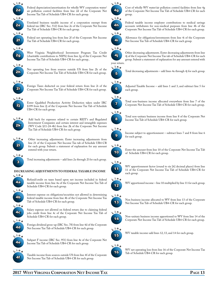

Federal depreciation/amortization for wholly WV corporation water/ air pollution control facilities from line 2d of the Corporate Net Income Tax Tab of Schedule UB4-CR for each group.

Unrelated business taxable income of a corporation exempt from federal tax (IRC Sec. 512) from line 2e of the Corporate Net Income Tax Tab of Schedule UB4-CR for each group.



Federal net operating loss from line 2f of the Corporate Net Income Tax Tab of Schedule UB4-CR for each group.



West Virginia Neighborhood Investment Program Tax Credit (charitable contributions to NIPA) from line 2g of the Corporate Net Income Tax Tab of Schedule UB4-CR for each group..



Net operating loss from sources outside US from line 2h of the Corporate Net Income Tax Tab of Schedule UB4-CR for each group.



Foreign Taxes deducted on your federal return from line 2i of the Corporate Net Income Tax Tab of Schedule UB4-CR for each group.



Enter Qualified Production Activity Deduction taken under IRC §199 from line 2j of the Corporate Net Income Tax Tab of Schedule UB4-CR for each group.



Add back for expenses related to certain REIT's and Regulated Investment Companies and certain interest and intangible expenses (WV Code §11-24-4b) from line 2k of the Corporate Net Income Tax Tab of Schedule UB4-CR for each group.



3 **L <sup>i</sup> <sup>n</sup> <sup>e</sup>**

Other increasing adjustments. Enter increasing adjustments from line 21 of the Corporate Net Income Tax tab of Schedule UB4-CR for each group. Submit a statement of explanation for any amount entered with your return.

Total increasing adjustments – add lines 2a through 2l for each group.

#### **Decreasing adjustments to federal taxable income**



Refund/credit on taxes based upon net income included in federal taxable income from line 4a of the Corporate Net Income Tax Tab of Schedule UB4-CR for each group.

Interest expense on obligations/securities not allowed in determining federal taxable income from line 4b of the Corporate Net Income Tax Tab of Schedule UB4-CR for each group.

Salary expense not allowed on federal return due to claiming federal jobs credit from line 4c of the Corporate Net Income Tax Tab of Schedule UB4-CR for each group.





4d

Subpart F income (IRC Sec. 951) from line 4e of the Corporate Net Income Tax Tab of Schedule UB4-CR for each group.



Taxable income from sources outside US from line 4f of the Corporate Net Income Tax Tab of Schedule UB4-CR for each group.

Cost of wholly WV water/air pollution control facilities from line 4g of the Corporate Net Income Tax Tab of Schedule UB4-CR for each group.



4g **L <sup>i</sup> <sup>n</sup> <sup>e</sup>**

> Federal taxable income employer contributions to medical savings accounts withdrawn for non-medical purposes from line 4h of the Corporate Net Income Tax Tab of Schedule UB4-CR for each group.



Allowance for obligations/investments from line 4i of the Corporate Net Income Tax Tab of Schedule UB4-CR for each group.



Other decreasing adjustments. Enter decreasing adjustments from line 4j of the Corporate Net Income Tax tab of Schedule UB4-CR for each group. Submit a statement of explanation for any amount entered with

# 5 **L <sup>i</sup> <sup>n</sup> <sup>e</sup>**

Total decreasing adjustments – add lines 4a through 4j for each group.



Adjusted Taxable Income – add lines 1 and 3, and subtract line 5 for each group.

# 7 **L <sup>i</sup> <sup>n</sup> <sup>e</sup>**

Total non-business income allocated everywhere from line 7 of the Corporate Net Income Tax Tab of Schedule UB4-CR for each group.



Total non-unitary business income from line 8 of the Corporate Net Income Tax Tab of Schedule UB4-CR for each group.

# **L <sup>i</sup> <sup>n</sup> <sup>e</sup>**



Income subject to apportionment – subtract lines 7 and 8 from line 6 for each group.

# **L <sup>i</sup> <sup>n</sup> <sup>e</sup>**



Enter the amount from line 10 of the Corporate Net Income Tax Tab of Schedule UB4-CR for each group.



WV apportionment factor (round to six [6] decimal places) from line 11 of the Corporate Net Income Tax Tab of Schedule UB4-CR for each group.



WV apportioned income – line 10 multiplied by line 11 for each group.



Non business income allocated to WV from line 13 of the Corporate Net Income Tax Tab of Schedule UB4-CR for each group.



Non-unitary business income apportioned to WV from line 14 of the Corporate Net Income Tax Tab of Schedule UB4-CR for each group.



WV taxable income-add lines 12, 13, and 14 for each group.



WV net operating loss from line 16 of the Corporate Net Income Tax Tab of Schedule UB4-CR for each group.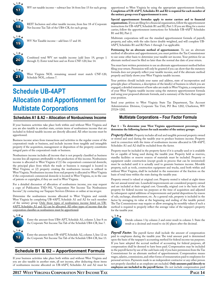

WV net taxable income – subtract line 16 from line 15 for each group.



REIT Inclusion and other taxable income, from line 18 of Corporate Net Income Tax Tab of the UB4-CR, for each group.

19 **L <sup>i</sup> <sup>n</sup> <sup>e</sup>** WV Net Taxable income – add lines 17 and 18.



Combined total WV net taxable income (add lines 19, groups 1 through 3). Enter total here and on Form CNF-120, line 14.



West Virginia NOL remaining unused must match CNF-120, Schedule NOL, column 7.

# **Schedule UB-4APT Allocation and Apportionment for Multistate Corporations**

# **Schedules A1 & A2 – Allocation of Nonbusiness Income**

If your business activities take place both within and without West Virginia and you are also taxable in another state, certain items of nonbusiness income that are included in federal taxable income are directly allocated. All other income must be apportioned.

Business income arises from transactions and activities in the regular course of the corporation's trade or business, and include income from tangible and intangible property if the acquisition, management or disposition of the property constitutes integral parts of the corporation's trade or business.

Nonbusiness income includes all income that is not properly classified as business income less all expenses attributable to the production of this income. Nonbusiness income is allocated to West Virginia if (1) the corporation's commercial domicile, the principal place from which the trade or business is managed is located in West Virginia; or (2) property creating the nonbusiness income is utilized in West Virginia. Nonbusiness income from real property is allocated to West Virginia if the corporation's commercial domicile is located in West Virginia, or, in the case of patents or copyrights, if they are used in West Virginia.

For a detailed discussion of allocation of nonbusiness income, you may request a copy of Publication TSD-392, "Corporation Net Income Tax Nonbusiness Income", by contacting our Taxpayer Services Division or online at tax.wv.gov.

Determine the nonbusiness income allocated to West Virginia and outside West Virginia by completing UB-4APT, Schedule A1 and A2 for each member of the unitary group. Only those types of nonbusiness income listed on UB-4APT, Schedules A1 and A2 can be allocated. All other types of income that the corporation classifies as nonbusiness must be apportioned.



12

Enter the amount from UB4-APT, Schedule A1, column 3, line 8 on the Corporate Net Income Tax Tab of the Schedule UB4-CR, line 7.

Enter the amount from UB-4APT, Schedule A2, column 3, line 12 on the Corporate Net Income Tax Tab of the Schedule UB4-CR, line 13.

# **Schedule B1 & B2 – Apportionment Formula**

If your business activities take place both within and without West Virginia and you are also taxable in another state, all net income, after deducting those items of nonbusiness income allocated on UB-4APT, Schedules A1 and A2 must be apportioned to West Virginia by using the appropriate apportionment formula. **Completion of UB-4APT, Schedules B1 and B2 is required for each member of the unitary group even if apportionment is zero**.

**Special apportionment formulas apply to motor carriers and to financial organizations.** If you are filing for a financial organization, follow the apportionment instructions for UB-4APT, Schedule B1 and B2, Part 3. If you are filing for a motor carrier, follow the apportionment instructions for Schedule UB-4APT Schedules B1 and B2, Part 2.

Multistate corporations will use the standard apportionment formula of payroll, property, and sales, with the sales factor double weighted, and will complete UB-4APT, Schedules B1 and B2 Parts 1 through 3 as applicable.

Petitioning for an alternate method of apportionment. To use an alternate method of allocation and apportionment, you must petition the Tax Commissioner to use some other basis to determine your taxable net income. Your petition for an alternate method must be filed no later than the normal due date of your return.

You must have written permission to use an alternate apportionment method before filing your return. Permission will only be granted if you can show that the statutory formula does not properly reflect your taxable income, and if the alternate method properly and fairly shows your West Virginia taxable income.

Your petition should include your name and address, state of incorporation and principle place of business, a description of the kind(s) of business in which you are engaged, a detailed statement of how sales are made in West Virginia, a computation of your West Virginia taxable income using the statutory apportionment formula and using your proposed alternate formula, and a summary of the facts that support your position.

Send your petition to West Virginia State Tax Department, Tax Account Administration Division, Corporate Tax Unit, PO Box 1202, Charleston, WV 25324-1202.

#### **Multistate Corporations – Four Factor Formula**

#### **Part 1 – To determine your West Virginia apportionment percentage, first determine the following factors for each member of the unitary groups:**

*Property Factor.* Property includes all real and tangible personal property owned or rented and used during the taxable year to produce business income. Property used in connection with the items of nonbusiness income allocated in UB-4APT, Schedules A1 and A2 shall be excluded from the factor.

Property must be included in the property factor if it is actually used or is available for or capable of being used during the taxable year. Property held as reserves, standby facilities or reserve sources of materials must be included. Property or equipment under construction (except goods in process that can be inventoried) must be excluded until it is actually used to generate business income. Movable property, such as tools, construction equipment and trucks, used both within and without West Virginia, shall be included in the numerator of the fraction on the basis of total time within the state during the taxable year.

Property owned is valued at original cost. Property rented is valued at eight times the net annual rental rate. Leasehold improvements are considered property owned and are included at their original cost. Generally, original cost is the basis of the property for federal income tax purposes at the time of acquisition and adjusted by subsequent capital additions of improvements and partial dispositions by reason of sale, exchange, abandonment, etc. As a general rule, property is included in the factor by averaging its value at the beginning and ending of the taxable period. The Tax Commissioner may require or allow averaging by monthly values if such a method is required to properly reflect the average value of the taxpayer's property for the taxable year.



Divide column 1 by column 2 and enter result in column 3. State the result as a decimal and round to six (6) places after the decimal.

Payroll Factor. The payroll factor shall include the amount of compensation paid to employees during the taxable year. The total amount paid is determined upon the basis of the taxpayer's accounting method for federal income tax purposes. If you have adopted the accrual method of accounting for federal purposes, all compensation shall be deemed to have been paid. Compensation may be included in the payroll factor by use of the cash basis only if you have permission from the Tax Commissioner for an alternate method of apportionment. Compensation means wages, salaries, commissions, and other forms of remuneration paid to employees for personal services. Payments made to an independent contractor or any other person not properly classified as an employee are excluded. **Only amounts paid directly to employees are included in the payroll factor.** Do not include compensation paid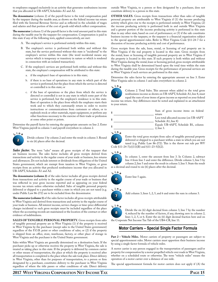to employees engaged exclusively in an activity that generates nonbusiness income that you allocated in UB-4APT, Schedules A1 and A2.

**The denominator** (column 2) of the payroll factor is the total compensation paid by the taxpayer during the taxable year, as shown on the federal income tax return filed with the Internal Revenue Service and as reflected in the schedule of wages and salaries and that portion of the cost of goods sold which reflect compensation.

**The numerator** (column 1) of the payroll factor is the total amount paid in this state during the taxable year by the taxpayer for compensation. Compensation is paid in this state if any of the following tests, applied consecutively, are met:

- A. The employee's service is performed entirely within this state;
- B. The employee's service is performed both within and without this state, but the service performed without this state is "incidental" to the employee's service within this state (the word incidental means any service which is temporary or transitory in nature or which is rendered in connection with an isolated transaction);
- C. If the employee's services are performed both within and without this state, the employee's compensation will be attributed to this state:
	- a. if the employee's base of operations is in this state;
	- b. if there is no base of operations in any state in which part of the service is performed, but the place from which the service is directed or controlled is in this state; or
	- c. if the base of operations or the place from which the service is directed or controlled is not in any state in which some part of the service is performed, but the employee's residence is in this state. Base of operation is the place from which the employee starts their work and to which they customarily return in order to receive instructions or communications from customers or others, or to replenish stock or other materials, repair equipment, or perform any other functions necessary to the exercise of their trade or profession at some other point or points.

Determine the payroll factor by entering the appropriate amounts on line 2. Enter West Virginia payroll in column 1 and payroll everywhere in column 2.



Divide column 1 by column 2 and enter the result in column 3. Round to six (6) places after the decimal.

*Sales factor.* The term "sales" means all gross receipts of the taxpayer that are business income. The sales factor includes all gross receipts derived from transactions and activity in the regular course of your trade or business, less returns and allowances. Do not include interest or dividends from obligations of the United States government, which are exempt from taxation in West Virginia, or gross receipts from an activity that produced nonbusiness income that you allocated in UB-4APT, Schedules A1 and A2.

**The denominator (column 2)** of the sales factor includes all gross receipts derived from transactions and activity in the regular course of your trade or business that was reflected in your gross income reported and as appearing on your federal income tax return unless otherwise excluded. Sales of tangible personal property delivered or shipped to a purchaser within a state in which you are not taxed (e.g. under Public Law 86-272) are to be excluded from the denominator.

**The numerator (column 1)** of the sales factor includes all gross receipts attributable to West Virginia and derived from transactions and activity in the regular course of your trade or business. All interest income, service charges or time-price differential charges incidental to such gross receipts must be included regardless of the place where the accounting records are maintained or the location of the contract or other evidence of indebtedness.

**Sales of tangible personal property.** Gross receipts from sales of tangible personal property are in West Virginia (1) if the property is received in West Virginia by the purchaser (except sales to the United States government) regardless of the F.O.B. point or other conditions of sales; or (2) if the property is shipped from an office, store, warehouse, factory, or other place of storage in West Virginia and the purchaser is the United States government.

Sales within West Virginia are generally determined on a destination basis. If the purchaser picks up or otherwise receives the property in West Virginia, the sale is treated as taking place in this state. If the property is delivered by common carrier or other means of transportation, the place at which the property is received after all transportation is completed is the place where the sale took place. Direct delivery in West Virginia, other than for purposes of transportation, to a person or firm designated by a purchaser, constitutes delivery to the purchaser in West Virginia regardless of where the title passes or other conditions of sale. Direct delivery

outside West Virginia, to a person or firm designated by a purchaser, does not constitute delivery to a person in this state.

**OTHER SALES.** Gross receipts from transactions other than sales of tangible personal property are attributable to West Virginia if (1) the income producing activity which gives rise to the receipts is performed entirely in West Virginia; (2) the income producing activity is performed both in and outside West Virginia and a greater portion of the income producing activity is performed in this state than in any other state, based on cost of performance; or (3) if the sale constitutes business income to the taxpayer, or the taxpayer is a financial organization subject to the special apportionment rules. Refer to West Virginia Code §11-24-7 for a discussion of income producing activity and cost of performance.

Gross receipts from the sale, lease, rental, or licensing of real property are in West Virginia if the real property is located in this state. Gross receipts from the rental, lease or licensing of tangible personal property are in West Virginia if the property is located in this state. If such property is both within and without West Virginia during the rental, lease or licensing period, gross receipts attributable to West Virginia shall be determined based upon the total time within the state during the taxable year. Gross receipts for the performance of personal services are in West Virginia if such services are performed in this state.

Determine the sales factor by entering the appropriate amount on line 3. Enter West Virginia sales in column 1 and sales everywhere in column 2.



Column 2. Total Sales. This amount when added to the total gross nonbusiness income as shown on UB-4APT, Schedule A1, line 8, must equal the sum of your items of gross income as reported on your federal

income tax return. Any differences must be noted and explained in an attachment to your return.

| \$ | Sum of gross income items on federal<br>return                   |  |
|----|------------------------------------------------------------------|--|
| \$ | Less total allocated income (on UB-4APT)<br>Schedule A1, line 8) |  |
| \$ | Equals UB-4APT, Schedule B1, column<br>2. line 3.                |  |

#### **L <sup>i</sup> <sup>n</sup> <sup>e</sup>**



Enter the total gross receipts from sales of tangible personal property delivered or shipped to a purchaser within a state in which you are not taxed (e.g. Public Law 86-272). This is the throw out rule per WV Code §11-24-7(e)(11)(B) and §11-23-5(l)(2).



In column 1, enter the amount from line 3. In Column 2, subtract line 4 from line 3 and enter the difference. Divide column 1, line 5 by column 2, line 5 and enter the result in column 3, line 5. State the result as a decimal and round to six (6) places after the decimal.



Enter line 5 again.





Divide the six (6) digit decimal from column 3, line 7 by the number 4, reduced by the number of factors, if any, showing zero in column 2, lines 1, 2, 5, or 6. Enter the six (6) digit decimal fraction here and on the Corporate Net Income Tax Tab of the UB4-CR, line 11.

### **Motor Carriers – Special Single Factor Formula**

Part 2 – Vehicle Miles. Motor carriers of property or passengers are subject to special apportionment rules. Motor carriers must apportion their business income by using a single factor formula of vehicle miles.

A motor carrier is any person engaged in the transportation of passengers and/or property for compensation by a motor propelled vehicle over roads in West Virginia, whether on a scheduled route or otherwise. The term "vehicle miles" means the operation of a motor carrier over a distance of one mile.

The special apportionment formula for motor carriers does not apply if (A) the

#### **2017 West Virginia Corporation Net Income Tax Page 15**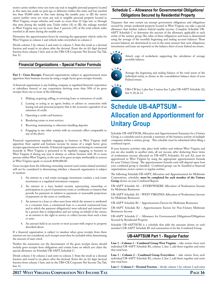motor carrier neither owns nor rents any real or tangible personal property located in this state, has made no pick ups or deliveries within this state, and has traveled less than 50,000 miles in this state during the taxable year; or (B) the motor carrier neither owns nor rents any real or tangible personal property located in West Virginia, except vehicles, and made no more than 12 trips into or through this state during the taxable year. Under either (A) or (B), the mileage traveled in West Virginia may not be more than 5 percent (.05) of the total vehicle miles traveled in all states during the taxable year.

Determine the apportionment factor by entering the appropriate vehicle miles for West Virginia in column 1 and vehicle miles everywhere in column 2.

Divide column 1 by column 2 and enter in column 3. State the result as a decimal fraction and round to six places after the decimal. Enter the six (6) digit decimal fraction from column 3 here and on the UB4-CR Corporate Net Income Tax Tab, line 11.

### **Financial Organizations – Special Factor Formula**

Part 3 – Gross Receipts. Financial organizations subject to apportionment must apportion their business income by using a single factor gross receipts formula.

A financial organization is any holding company or regulated financial corporation or subsidiary thereof, or any corporation deriving more than 50% of its gross receipts from one or more of the following:

- 1. Making, acquiring, selling, or servicing loans or extensions of credit.
- 2. Leasing or acting as an agent, broker, or advisor in connection with leasing real and personal property that is the economic equivalent of an extension of credit.
- 3. Operating a credit card business.
- 4. Rendering estate or trust services.
- 5. Receiving, maintaining or otherwise handling deposits.
- 6. Engaging in any other activity with an economic effect comparable to any of the above.

Financial organizations regularly engaging in business in West Virginia shall apportion their capital and business income by means of a single factor gross receipts apportionment formula. A financial organization not having its commercial domicile in West Virginia is presumed to be regularly engaging in business in West Virginia if during any year it obtains or solicits business with 20 or more persons within West Virginia, or the sum of its gross receipts attributable to sources in West Virginia equals or exceeds \$100,000.00.

Gross receipts from the following ownership interest (and certain related activities) will not be considered in determining whether a financial organization is subject to taxation:

- 1. An interest in a real estate mortgage investment conduit, a real estate investment or a regulated investment company.
- 2. An interest in a loan backed security representing ownership or participation in a pool of promissory notes or certificates or interest that provide for payments in relation to payments or reasonable projections of payments on the notes or certificates.
- 3. An interest in a loan or other asset from which the interest is attributed to a consumer loan, a commercial loan or a secured commercial loan, and in which the payment obligation(s) were solicited and entered into by a person that is independent and not acting on behalf of the owner; or an interest in the right to service or collect income from such a loan or asset.
- 4. An amount held in an escrow or trust account with respect to property described above.

If a financial organization is subject to taxation when gross receipts from these interests are not considered, such receipts must then be included when determining the amount of taxes owed.

Neither the numerator nor the denominator of the gross receipts factor should include gross receipts from obligations and certain loans on which you claim the special allowance on Schedule UB-4APT, Schedule C.

Divide column 1 by column 2 and enter in column 3. State the result as a decimal fraction and round to six places after the decimal. Enter the six (6) digit decimal fraction from column 3 here and on the UB4-CR Corporate Net Income Tax Tab, line 11.

# **Schedule C – Allowance for Governmental Obligations/ Obligations Secured by Residential Property**

Taxpayers that own certain tax exempt government obligations and obligations secured by certain residential property located in West Virginia can take a special allowance that further reduces federal taxable income. Complete Schedule UB-4APT Schedule C to determine the amount of the allowance applicable to each entity of the unitary group. The value of these obligations and loans is determined using the average of the monthly beginning and ending account balances. These account balances are determined at cost in the same manner that such obligations, investments and loans are reported on the balance sheet of your federal tax return.







Average the beginning and ending balance of the total assets of the individual entity, as shown in the consolidation balance sheet of your Federal return.



UB4-CR line 1 plus line 3 minus line 5, plus UB-4APT Schedule A2, line 9, 10, & 11.

# **Schedule UB-4APTSUM – Allocation and Apportionment for Unitary Group**

Schedule UB-4APTSUM, Allocation and Apportionment Summary for a Unitary Group, is a schedule used to provide a summary of the business activity of multiple companies within a unitary group. This schedule must be submitted when filing a combined report.

If your business activities take place both within and without West Virginia and you are also taxable in another state, all net income, after deducting those items of nonbusiness income allocated on UB-4APT, Schedules A1 and A2, must be apportioned to West Virginia by using the appropriate apportionment formula for your Unitary Group. The apportionment formula used will depend upon how your combined group is classified. Combined groups can be classified as financial organizations, motor carriers or regular entities.

The following Schedule UB-4APT, Allocation and Apportionment for Multistate Corporations, schedules **must be completed for each member of the Unitary Group** shown on your Combined Report:

UB-4APT Schedule A1 – EVERYWHERE Allocation of Nonbusiness Income for Multistate Businesses

UB-4APT Schedule A2 – WEST VIRGINIA Allocation of Nonbusiness Income for Multistate Businesses

UB-4APT Schedule B1 – Apportionment Factors for Multistate Businesses

UB-4APT Schedule B2 – Apportionment Factors for Non-Unitary Multistate Businesses Income

UB-4APT Schedule C – Allowance for Governmental Obligations/Obligations Secured by Residential Property

Schedule UB-4APTSUM is a schedule that adds the amounts shown on each member's UB-4APT Schedule B1 and summarizes it for the Combined Group.

#### **UB-4APTSUM Part 1 - Regular Factor**

**Line 1 – Column 1 – Combined Group West Virginia** – take entries from each individual UB-4APT Schedule B1, column 1, line 1, add them together and enter that total here.

**Line 1 – Column 2 – Combined Group Everywhere** – take entries from each individual UB-4APT Schedule B1, column 2, line 1, add them together and enter that total here.

**Line 1 – Column 3 – Decimal Fraction** – divide column 1 by column 2 and enter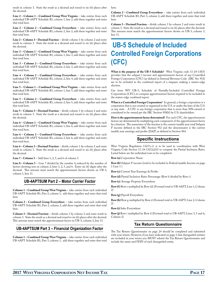result in column 3. State the result as a decimal and round to six (6) places after the decimal.

**Line 2 – Column 1 – Combined Group West Virginia** – take entries from each individual UB-4APT Schedule B1, column 1, line 2, add them together and enter that total here.

**Line 2 – Column 2 – Combined Group Everywhere** – take entries from each individual UB-4APT Schedule B1, column 2, line 2, add them together and enter that total here.

**Line 2 – Column 3 – Decimal Fraction** – divide column 1 by column 2 and enter result in column 3. State the result as a decimal and round to six (6) places after the decimal.

**Line 3 – Column 1 – Combined Group West Virginia** – take entries from each individual UB-4APT Schedule B1, column 1, line 3, add them together and enter that total here.

**Line 3 – Column 2 – Combined Group Everywhere** – take entries from each individual UB-4APT Schedule B1, column 2, line 3, add them together and enter that total here.

**Line 4 – Column 2 – Combined Group Everywhere** – take entries from each individual UB-4APT Schedule B1, column 2, line 4, add them together and enter that total here.

**Line 5 – Column 1 – Combined Group West Virginia** – take entries from each individual UB-4APT Schedule B1, column 1, line 5, add them together and enter that total here.

**Line 5 – Column 2 – Combined Group Everywhere** – take entries from each individual UB-4APT Schedule B1, column 2, line 5, add them together and enter that total here.

**Line 5 – Column 3 – Decimal Fraction** – divide column 1 by column 2 and enter result in column 3. State the result as a decimal and round to six (6) places after the decimal.

**Line 6 – Column 1 – Combined Group West Virginia** – take entries from each individual UB-4APT Schedule B1, column 1, line 6, add them together and enter that total here.

**Line 6 – Column 2 – Combined Group Everywhere** – take entries from each individual UB-4APT Schedule B1, column 2, line 6, add them together and enter that total here.

**Line 6 – Column 3 – Decimal Fraction** – divide column 1 by column 2 and enter result in column 3. State the result as a decimal and round to six (6) places after the decimal.

**Line 7 – Column 3** – Add lines 1, 2, 5, and 6 of column 3.

**Line 8 – Column 3** – Line 7 divided by the number 4, reduced by the number of factors showing zero in column 2, lines 1, 2, 5, and 6. Enter six (6) digits after the decimal. This amount must match the apportionment factors shown on UB-3, column 1, line 11.

#### **UB-4APTSUM Part 2 – Motor Carrier Factor**

**Column 1 – Combined Group West Virginia** – take entries from each individual UB-4APT Schedule B1, Part 2, column 1, add them together and enter that total here.

**Column 2 – Combined Group Everywhere** – take entries from each individual UB-4APT Schedule B1, Part 2, column 2, add them together and enter that total here.

**Column 3 – Decimal Fraction** – divide column 1 by column 2 and enter result in column 3. State the result as a decimal and round to six (6) places after the decimal. This amount must match the apportionment factor on UB-3, column 2, line 11.

#### **UB-4APTSUM Part 3 – Financial Organization Factor**

**Column 1 – Combined Group West Virginia** – take entries from each individual UB-4APT Schedule B1, Part 3, column 1, add them together and enter that total here.

**Column 2 – Combined Group Everywhere** – take entries from each individual UB-4APT Schedule B1, Part 3, column 2, add them together and enter that total here.

**Column 3 – Decimal Fraction** – divide column 1 by column 2 and enter result in column 3. State the result as a decimal and round to six (6) places after the decimal. This amount must match the apportionment factors shown on UB-3, column 3, line 11.

# **UB-5 Schedule of Included Controlled Foreign Corporations (CFC)**

**What is the purpose of the UB-5 Schedule?** West Virginia code 11-24-13f(5) provides that the subpart f income and apportionment factors of any Controlled Foreign Corporation (CFC) (as defined in Internal Revenue Code (IRC Sec 952) are to be included in the combined report of a taxpayer making a waters-edge election.

Use form WV UB-5, Schedule of Partially-Included Controlled Foreign Corporations (CFC), to compute apportionment factors required to be included in the waters-edge combined report.

**What is a Controlled Foreign Corporation?** In general, a foreign corporation is a corporation that is not created or organized in the U.S. or under the laws of the U.S. or any state. A CFC is any foreign corporation that is more than 50% owned or considered to be owned per the IRC Section 958(b) by U.S. shareholders.

**How is the apportionment factor determined?** For each CFC, the apportionment factors are determined by multiplying each component of the apportionment factor by a fraction. The numerator of the fraction is the current taxable year total Subpart F income defined in the IRC Section 952 and the denominator is the current taxable year earnings and profits (E&P) as defined in Section 964.

### **Specific Instructions**

West Virginia Regulation 13d.9.c.2. is to be used in coordination with West Virginia Code Section  $11-24-13(f)(a)(5)$  to compute the Partial Inclusion Ratio. Listed below are the individual rows to be completed.

**Row (a)** Corporation Name

**Row (b)** Subpart F income (total to be included in Federal taxable Income on page 1 Line 1 )

**Row (c)** Current Year Earnings & Profits

**Row (d)** Partial Inclusion Ratio Percentage (Row b divided by Row c)

**Row (e)** Average Property Everywhere

**Row (f )** Row e multiplied by Row (d) (Forward total to UB-4APT, Line 1, Column 2)

**Row (g)** Payroll Everywhere

**Row (h)** Row g multiplied by Row d (Forward total to UB-4APT, Line 2, Column 2)

**Row (i)** Sales Everywhere

**Row (j)** Row i multiplied by Row d (Forward total to UB-4APT, Lines 3, 5 and 6, Column 2)

#### **Tax Return Questionnaire**

The Tax Return Questionnaire on page 24 should be completed and submitted with your return. However, if you have indicated on page 1 that disregarded entities are included in your return you MUST submit the Tax Return Questionnaire and include the name and FEIN of each disregarded entity.